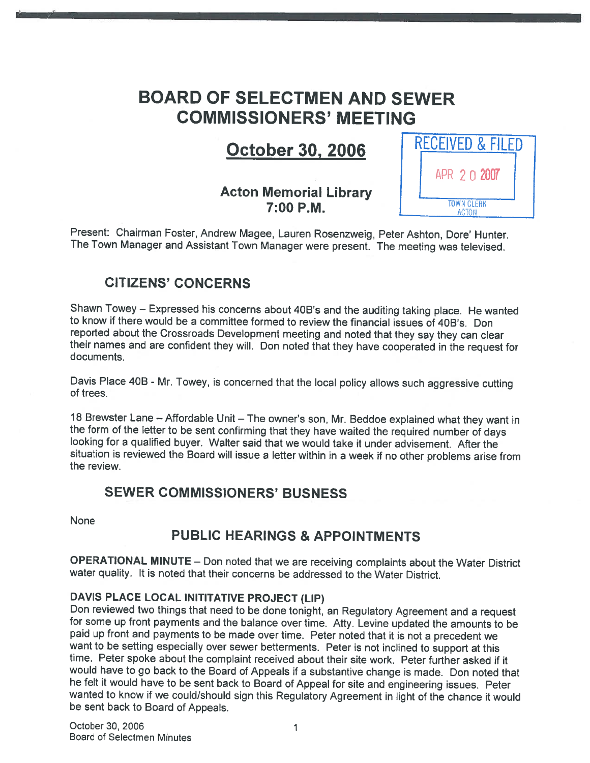# BOARD OF SELECTMEN AND SEWER COMMISSIONERS' MEETING

# October 30, 2006

## Acton Memorial Library 7:00 P.M.



Present: Chairman Foster, Andrew Magee, Lauren Rosenzweig, Peter Ashton, Dore' Hunter. The Town Manager and Assistant Town Manager were present. The meeting was televised.

## CITIZENS' CONCERNS

Shawn Towey — Expressed his concerns about 40B's and the auditing taking <sup>p</sup>lace. He wanted to know if there would be <sup>a</sup> committee formed to review the financial issues of 40B's. Don their names and are confident they will. Don noted that they have cooperated in the request for documents.

Davis Place 4DB - Mr. Towey, is concerned that the local policy allows such aggressive cutting of trees.

18 Brewster Lane – Affordable Unit – The owner's son, Mr. Beddoe explained what they want in the form of the letter to be sent confirming that they have waited the required number of days looking for a qualified buyer. Wal situation is reviewed the Board will issue <sup>a</sup> letter within in <sup>a</sup> week if no other problems arise from the review.

## SEWER COMMISSIONERS' BUSNESS

None

## PUBLIC HEARINGS & APPOINTMENTS

OPERATIONAL MINUTE — Don noted that we are receiving complaints about the Water District water quality. It is noted that their concerns be addressed to the Water District.

DAVIS PLACE LOCAL INITITATIVE PROJECT (LIP)<br>Don reviewed two things that need to be done tonight, an Regulatory Agreement and a request for some up front payments and the balance over time. Atty. Levine updated the amounts to be paid up front and payments to be made over time. Peter noted that it is not a precedent we want to be setting especially over sewer betterments. Peter is not inclined to support at this time. Peter spoke about the complaint received about their site work. Peter further asked if it would have to go back to the Board of Appeals if <sup>a</sup> substantive change is made. Don noted that he felt it would have to be sent back to Board of Appeal for site and engineering issues. Peter wanted to know if we could/should sign this Regulatory Agreement in light of the chance it would be sent back to Board of Appeals.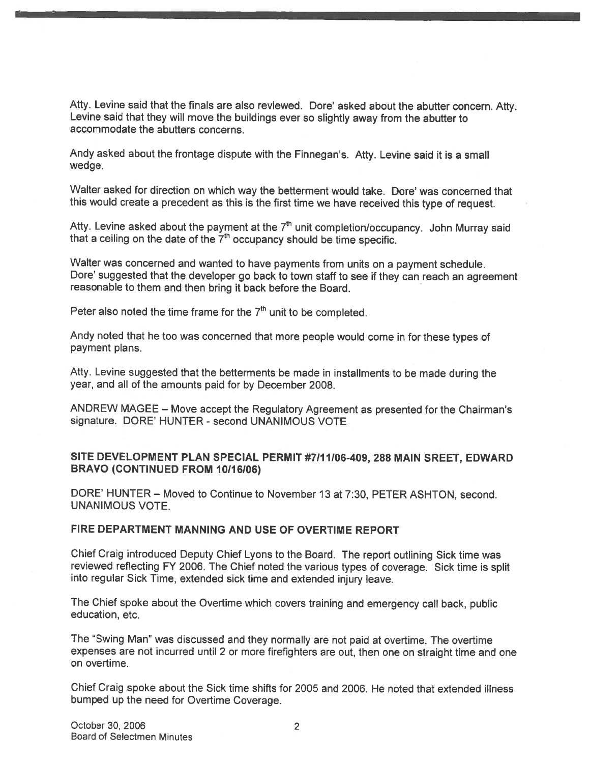Atty. Levine said that the finals are also reviewed. Dore' asked about the abutter concern. Atty. Levine said that they will move the buildings ever so slightly away from the abutter to accommodate the abutters concerns.

Andy asked about the frontage dispute with the Finnegan's. Atty. Levine said it is <sup>a</sup> small wedge.

Walter asked for direction on which way the betterment would take. Dore' was concerned that this would create <sup>a</sup> precedent as this is the first time we have received this type of request.

Atty. Levine asked about the payment at the  $7<sup>th</sup>$  unit completion/occupancy. John Murray said that a ceiling on the date of the  $7<sup>th</sup>$  occupancy should be time specific.

Walter was concerned and wanted to have payments from units on <sup>a</sup> paymen<sup>t</sup> schedule. Dore' suggested that the developer go back to town staff to see if they can reach an agreemen<sup>t</sup> reasonable to them and then bring it back before the Board.

Peter also noted the time frame for the  $7<sup>th</sup>$  unit to be completed.

Andy noted that he too was concerned that more people would come in for these types of paymen<sup>t</sup> plans.

Atty. Levine suggested that the betterments be made in installments to be made during the year, and all of the amounts paid for by December 2008.

ANDREW MAGEE — Move accep<sup>t</sup> the Regulatory Agreement as presented for the Chairman's signature. DORE' HUNTER - second UNANIMOUS VOTE

#### SITE DEVELOPMENT PLAN SPECIAL PERMIT #7111106-409, 288 MAIN SREET, EDWARD BRAVO (CONTINUED FROM 10/16/06)

DORE' HUNTER — Moved to Continue to November 13 at 7:30, PETER ASHTON, second. UNANIMOUS VOTE.

#### FIRE DEPARTMENT MANNING AND USE OF OVERTIME REPORT

Chief Craig introduced Deputy Chief Lyons to the Board. The repor<sup>t</sup> outlining Sick time was reviewed reflecting FY 2006. The Chief noted the various types of coverage. Sick time is split into regular Sick Time, extended sick time and extended injury leave.

The Chief spoke about the Overtime which covers training and emergency call back, public education, etc.

The "Swing Man" was discussed and they normally are not paid at overtime. The overtime expenses are not incurred until <sup>2</sup> or more firefighters are out, then one on straight time and one on overtime.

Chief Craig spoke about the Sick time shifts for 2005 and 2006. He noted that extended illness bumped up the need for Overtime Coverage.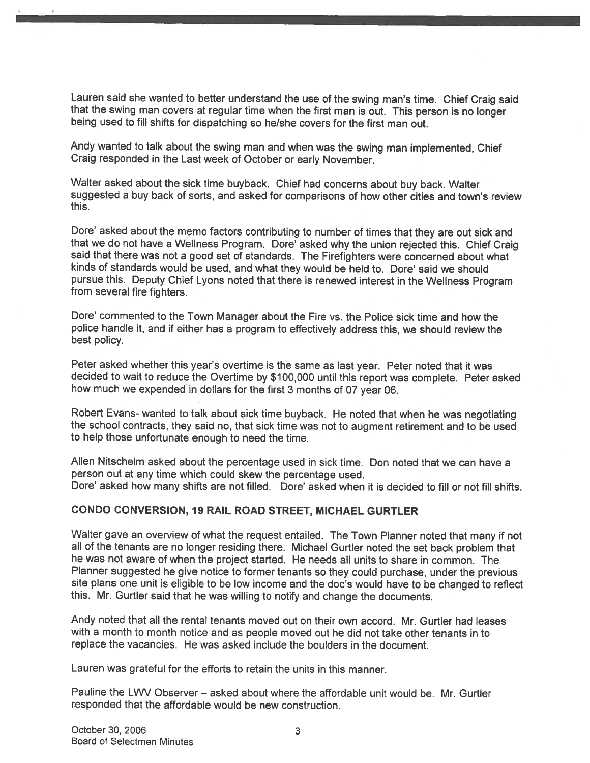Lauren said she wanted to better understand the use of the swing man's time. Chief Craig said that the swing man covers at regular time when the first man is out. This person is no longer being used to fill shifts for dispatching so he/she covers for the first man out.

Andy wanted to talk about the swing man and when was the swing man implemented, Chief Craig responded in the Last week of October or early November.

Walter asked about the sick time buyback. Chief had concerns about buy back. Walter suggested <sup>a</sup> buy back of sorts, and asked for comparisons of how other cities and town's review this.

Dore' asked about the memo factors contributing to number of times that they are out sick and that we do not have <sup>a</sup> Weliness Program. Dore' asked why the union rejected this. Chief Craig said that there was not <sup>a</sup> goo<sup>d</sup> set of standards. The Firefighters were concerned about what kinds of standards would be used, and what they would be held to. Dore' said we should pursue this. Deputy Chief Lyons noted that there is renewed interest in the Weliness Program from several fire fighters.

Dore' commented to the Town Manager about the Fire vs. the Police sick time and how the police handle it, and if either has <sup>a</sup> program to effectively address this, we should review the best policy.

Peter asked whether this year's overtime is the same as last year. Peter noted that it was decided to wait to reduce the Overtime by \$100,000 until this repor<sup>t</sup> was complete. Peter asked how much we expended in dollars for the first <sup>3</sup> months of <sup>07</sup> year 06.

Robert Evans- wanted to talk about sick time buyback. He noted that when he was negotiating the school contracts, they said no, that sick time was not to augmen<sup>t</sup> retirement and to be used to help those unfortunate enoug<sup>h</sup> to need the time.

Allen Nitschelm asked about the percentage used in sick time. Don noted that we can have <sup>a</sup> person out at any time which could skew the percentage used. Dore' asked how many shifts are not filled. Dore' asked when it is decided to fill or not fill shifts.

#### CONDO CONVERSION, 19 RAIL ROAD STREET, MICHAEL GURTLER

Walter gave an overview of what the reques<sup>t</sup> entailed. The Town Planner noted that many if not all of the tenants are no longer residing there. Michael Gurtler noted the set back problem that he was not aware of when the project started. He needs all units to share in common. The Planner suggested he <sup>g</sup>ive notice to former tenants so they could purchase, under the previous site <sup>p</sup>lans one unit is eligible to be low income and the doc's would have to be changed to reflect this. Mr. Gurtler said that he was willing to notify and change the documents.

Andy noted that all the rental tenants moved out on their own accord. Mr. Gurtler had leases with <sup>a</sup> month to month notice and as people moved out he did not take other tenants in to replace the vacancies. He was asked include the boulders in the document.

Lauren was grateful for the efforts to retain the units in this manner.

Pauline the LWV Observer — asked about where the affordable unit would be. Mr. Gurtler responded that the affordable would be new construction.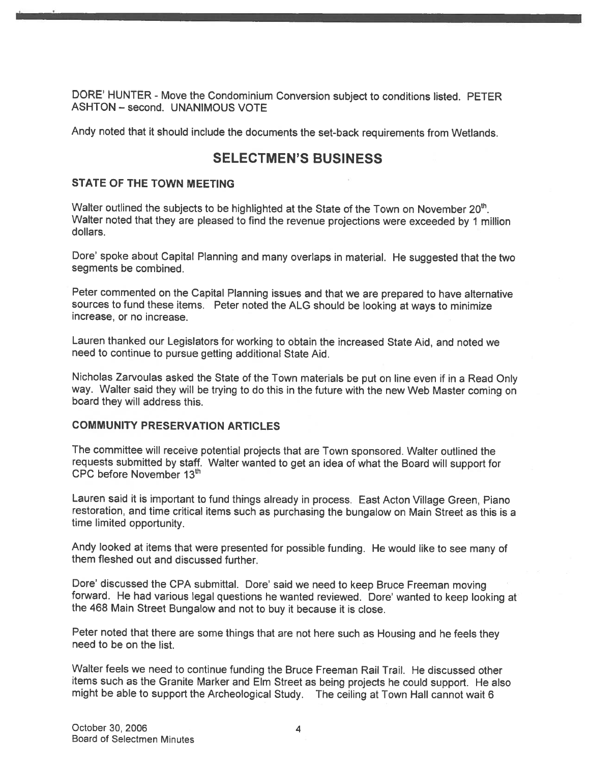DORE' HUNTER - Move the Condominium Conversion subject to conditions listed. PETER ASHTON - second. UNANIMOUS VOTE

Andy noted that it should include the documents the set-back requirements from Wetlands.

## SELECTMEN'S BUSINESS

#### STATE OF THE TOWN MEETING

Walter outlined the subjects to be highlighted at the State of the Town on November 20<sup>th</sup>. Walter noted that they are <sup>p</sup>leased to find the revenue projections were exceeded by <sup>1</sup> million dollars.

Dore' spoke about Capital Planning and many overlaps in material. He suggested that the two segments be combined.

Peter commented on the Capital Planning issues and that we are prepare<sup>d</sup> to have alternative sources to fund these items. Peter noted the ALG should be looking at ways to minimize increase, or no increase.

Lauren thanked our Legislators for working to obtain the increased State Aid, and noted we need to continue to pursue getting additional State Aid.

Nicholas Zarvoulas asked the State of the Town materials be pu<sup>t</sup> on line even if in <sup>a</sup> Read Only way. Walter said they will be trying to do this in the future with the new Web Master coming on board they will address this.

#### COMMUNITY PRESERVATION ARTICLES

The committee will receive potential projects that are Town sponsored. Walter outlined the requests submitted by staff. Walter wanted to get an idea of what the Board will support for CPC before November 13th

Lauren said it is important to fund things already in process. East Acton Village Green, Piano restoration, and time critical items such as purchasing the bungalow on Main Street as this is <sup>a</sup> time limited opportunity.

Andy looked at items that were presented for possible funding. He would like to see many of them fleshed out and discussed further.

Dore' discussed the CPA submittal. Dore' said we need to keep Bruce Freeman moving forward. He had various legal questions he wanted reviewed. Dore' wanted to keep looking at the <sup>468</sup> Main Street Bungalow and not to buy it because it is close.

Peter noted that there are some things that are not here such as Housing and he feels they need to be on the list.

Walter feels we need to continue funding the Bruce Freeman Rail Trail. He discussed other items such as the Granite Marker and Elm Street as being projects he could support. He also might be able to suppor<sup>t</sup> the Archeological Study. The ceiling at Town Hall cannot wait <sup>6</sup>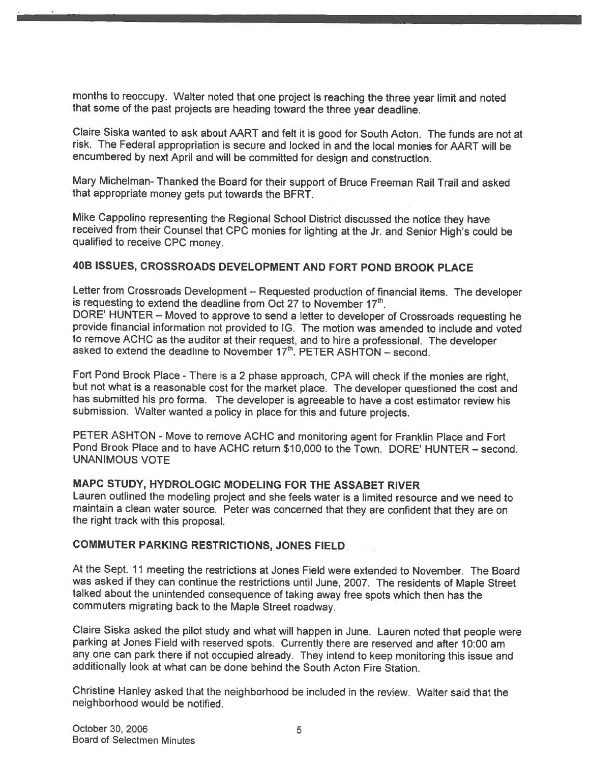months to reoccupy. Walter noted that one project is reaching the three year limit and noted that some of the past projects are heading toward the three year deadline.

Claire Siska wanted to ask about AART and felt it is good for South Acton. The funds are not at risk. The Federal appropriation is secure and locked in and the local monies for AART will be encumbered by next April and will be committed for design and construction.

Mary Michelman- Thanked the Board for their support of Bruce Freeman Rail Trail and asked that appropriate money gets put towards the BERT.

Mike Cappolino representing the Regional School District discussed the notice they have received from their Counsel that CPC monies for lighting at the Jr. and Senior High's could be qualified to receive CPC money.

#### 4DB ISSUES, CROSSROADS DEVELOPMENT AND FORT POND BROOK PLACE

Letter from Crossroads Development – Requested production of financial items. The developer is requesting to extend the deadline from Oct 27 to November 17<sup>th</sup>.

DORE' HUNTER — Moved to approve to send <sup>a</sup> letter to developer of Crossroads requesting he provide financial information not provided to 1G. The motion was amended to include and voted to remove ACHC as the auditor at their request, and to hire a professional. The developer asked to extend the deadline to November  $17<sup>th</sup>$ . PETER ASHTON – second.

Fort Pond Brook Place - There is <sup>a</sup> <sup>2</sup> <sup>p</sup>hase approach, CPA will check if the monies are right, but not what is <sup>a</sup> reasonable cost for the market <sup>p</sup>lace. The developer questioned the cost and has submitted his pro forma. The developer is agreeable to have <sup>a</sup> cost estimator review his submission. Walter wanted <sup>a</sup> policy in <sup>p</sup>lace for this and future projects.

PETER ASHTON - Move to remove ACHC and monitoring agent for Franklin Place and Fort Pond Brook Place and to have ACHC return \$10,000 to the Town. DORE' HUNTER — second. UNANIMOUS VOTE

#### MAPC STUDY, HYDROLOGIC MODELING FOR THE ASSABET RIVER

Lauren outlined the modeling project and she feels water is <sup>a</sup> limited resource and we need to maintain <sup>a</sup> clean water source. Peter was concerned that they are confident that they are on the right track with this proposal.

#### COMMUTER PARKING RESTRICTIONS, JONES FIELD

At the Sept. <sup>11</sup> meeting the restrictions at Jones Field were extended to November. The Board was asked if they can continue the restrictions until June, 2007. The residents of Maple Street talked about the unintended consequence of taking away free spots which then has the commuters migrating back to the Maple Street roadway.

Claire Siska asked the <sup>p</sup>ilot study and what will happen in June. Lauren noted that people were parking at Jones Field with reserved spots. Currently there are reserved and after 10:00 am any one can par<sup>k</sup> there if not occupied already. They intend to keep monitoring this issue and additionally look at what can be done behind the South Acton Fire Station.

Christine Hanley asked that the neighborhood be included in the review. Walter said that the neighborhood would be notified.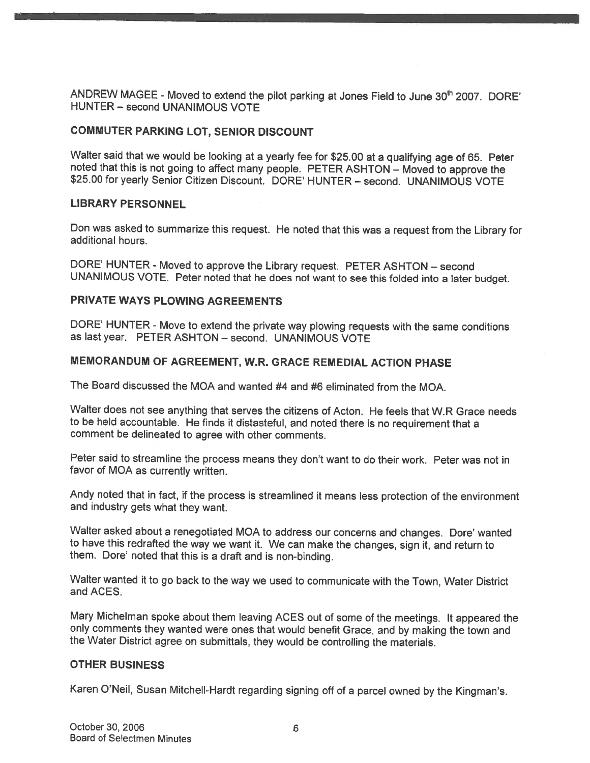ANDREW MAGEE - Moved to extend the pilot parking at Jones Field to June 30<sup>th</sup> 2007. DORE' HUNTER - second UNANIMOUS VOTE

#### COMMUTER PARKING LOT, SENIOR DISCOUNT

Walter said that we would be looking at a yearly fee for \$25.00 at a qualifying age of 65. Peter noted that this is not going to affect many people. PETER ASHTON – Moved to approve the \$25.00 for yearly Senior Citizen Disc

#### LIBRARY PERSONNEL

Don was asked to summarize this request. He noted that this was <sup>a</sup> request from the Library for additional hours.

DORE' HUNTER - Moved to approve the Library request. PETER ASHTON — second UNANIMOUS VOTE. Peter noted that he does not want to see this folded into <sup>a</sup> later budget.

#### PRIVATE WAYS PLOWING AGREEMENTS

DORE' HUNTER - Move to extend the private way <sup>p</sup>lowing requests with the same conditions as last year. PETER ASHTON — second. UNANIMOUS VOTE

#### MEMORANDUM OF AGREEMENT, W.R. GRACE REMEDIAL ACTION PHASE

The Board discussed the MQA and wanted #4 and #6 eliminated from the MOA.

Walter does not see anything that serves the citizens of Acton. He feels that W.R Grace needs to be held accountable. He finds it distasteful, and noted there is no requirement that <sup>a</sup> comment be delineated to agree with other comments.

Peter said to streamline the process means they don't want to do their work. Peter was not in favor of MOA as currently written.

Andy noted that in fact, if the process is streamlined it means less protection of the environment and industry gets what they want.

Walter asked about <sup>a</sup> renegotiated MOA to address our concerns and changes. Dore' wanted to have this redrafted the way we want it. We can make the changes, sign it, and return to them. Dote' noted that this is <sup>a</sup> draft and is non-binding.

Walter wanted it to go back to the way we used to communicate with the Town, Water District and ACES.

Mary Michelman spoke about them leaving ACES out of some of the meetings. It appeared the only comments they wanted were ones that would benefit Grace, and by making the town and the Water District agree on submittals, they would be controlling the materials.

#### OTHER BUSINESS

Karen O'Neil, Susan Mitchell-Hardt regarding signing off of <sup>a</sup> parcel owned by the Kingman's.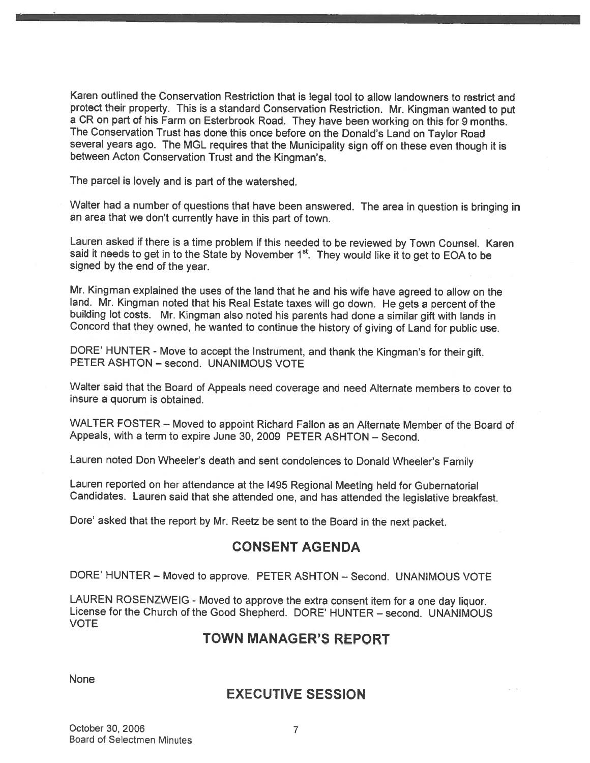Karen outlined the Conservation Restriction that is legal tool to allow landowners to restrict and protect their property. This is <sup>a</sup> standard Conservation Restriction. Mr. Kingman wanted to pu<sup>t</sup> <sup>a</sup> CR on par<sup>t</sup> of his Farm on Esterbrook Road. They have been working on this for <sup>9</sup> months. The Conservation Trust has done this once before on the Donald's Land on Taylor Road several years ago. The MGL requires that the Municipality sign off on these even though it is between Acton Conservation Trust and the Kingman's.

The parce<sup>l</sup> is lovely and is par<sup>t</sup> of the watershed.

Walter had <sup>a</sup> number of questions that have been answered. The area in question is bringing in an area that we don't currently have in this par<sup>t</sup> of town.

Lauren asked if there is <sup>a</sup> time problem if this needed to be reviewed by Town Counsel. Karen said it needs to get in to the State by November 1<sup>st</sup>. They would like it to get to EOA to be signed by the end of the year.

Mr. Kingman explained the uses of the land that he and his wife have agreed to allow on the<br>land. Mr. Kingman noted that his Real Estate taxes will go down. He gets a percent of the building lot costs. Mr. Kingman also noted his parents had done a similar gift with lands in Concord that they owned, he wanted to continue the history of <sup>g</sup>iving of Land for public use.

DORE' HUNTER - Move to accep<sup>t</sup> the Instrument, and thank the Kingman's for their <sup>g</sup>ift. PETER ASHTON — second. UNANIMOUS VOTE

Walter said that the Board of Appeals need coverage and need Alternate members to cover to insure <sup>a</sup> quorum is obtained.

WALTER FOSTER — Moved to appoint Richard Fallon as an Alternate Member of the Board of Appeals, with <sup>a</sup> term to expire June 30, 2009 PETER ASHTON — Second.

Lauren noted Don Wheeler's death and sent condolences to Donald Wheeler's Family

Lauren reported on her attendance at the <sup>1495</sup> Regional Meeting held for Gubernatorial Candidates. Lauren said that she attended one, and has attended the legislative breakfast.

Dote' asked that the repor<sup>t</sup> by Mr. Reetz be sent to the Board in the next packet.

## CONSENT AGENDA

DORE' HUNTER — Moved to approve. PETER ASHTON — Second. UNANIMOUS VOTE

LAUREN ROSENZWEIG - Moved to approve the extra consent item for <sup>a</sup> one day liquor. License for the Church of the Good Shepherd. DORE' HUNTER — second. UNANIMOUS VOTE

## TOWN MANAGER'S REPORT

None

## EXECUTIVE SESSION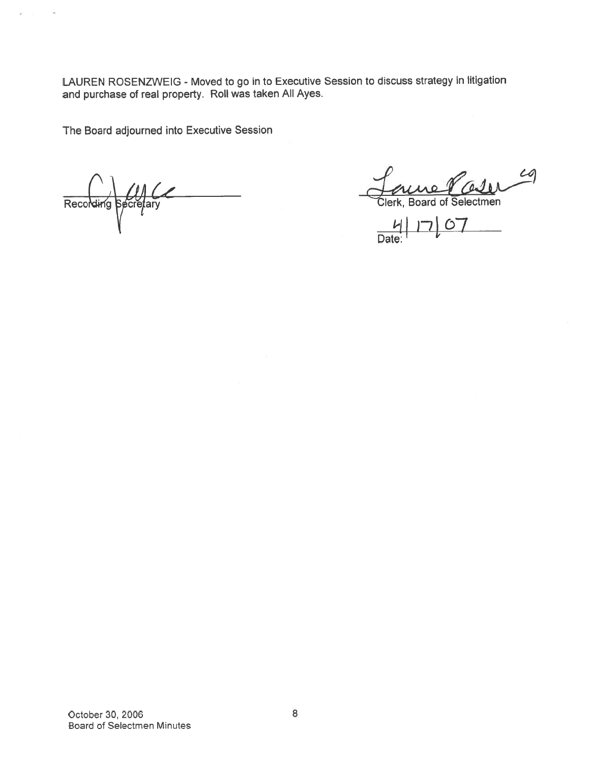LAUREN ROSENZWEIG - Moved to go in to Executive Session to discuss strategy in litigation and purchase of real property. Roll was taken All Ayes.

The Board adjourned into Executive Session

Recording Secretary Clerk, Board of Selectmen

 $\overline{a}$ 

 $c$ 

 $67$ **Date** 

October 30, 2006 8 Board of Selectmen Minutes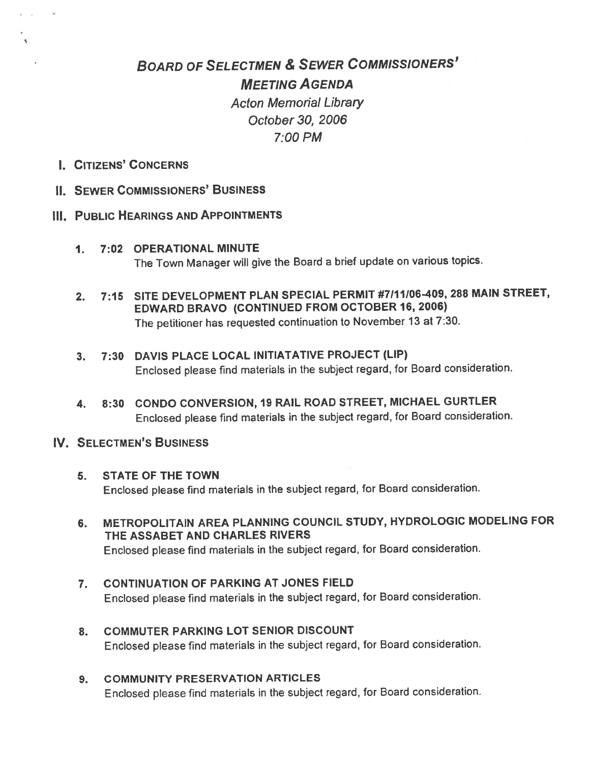# BOARD OF SELECTMEN & SEWER COMMISSIONERS' MEETiNG AGENDA Acton Memorial Library October 30, 2006 7:00 PM

I. CITIZENS' CONCERNS

 $\frac{1}{2}$ 

II. SEWER COMMISSIONERS' BUSINESS

#### Ill. PUBLIC HEARINGS AND APPOINTMENTS

- 1. 7:02 OPERATIONAL MINUTE The Town Manager will <sup>g</sup>ive the Board <sup>a</sup> brief update on various topics.
- 2. 7:15 SITE DEVELOPMENT PLAN SPECIAL PERMIT #7111)06-409, 28\$ MAIN STREET, EDWARD BRAVO (CONTINUED FROM OCTOBER 16, 2006) The petitioner has requested continuation to November <sup>13</sup> at 7:30.
- 3. 7:30 DAVIS PLACE LOCAL IN1TIATATIVE PROJECT (LIP) Enclosed <sup>p</sup>lease find materials in the subject regard, for Board consideration.
- 4. 8:30 CONDO CONVERSION, 19 RAIL ROAD STREET, MICHAEL GURTLER Enclosed <sup>p</sup>lease find materials in the subject regard, for Board consideration.

#### IV. SELECTMEN'S BUSINESS

- 5. STATE OF THE TOWN Enclosed <sup>p</sup>lease find materials in the subject regard, for Board consideration.
- 6. METROPOLITAIN AREA PLANNING COUNCIL STUDY, HYDROLOGIC MODELING FOR THE ASSABET AND CHARLES RIVERS Enclosed <sup>p</sup>lease find materials in the subject regard, for Board consideration.
- 7. CONTINUATION OF PARKING AT JONES FIELD Enclosed <sup>p</sup>lease find materials in the subject regard, for Board consideration.
- 8. COMMUTER PARKING LOT SENIOR DISCOUNT Enclosed <sup>p</sup>lease find materials in the subject regard, for Board consideration.
- 9. COMMUNITY PRESERVATION ARTICLES Enclosed <sup>p</sup>lease find materials in the subject regard, for Board consideration.